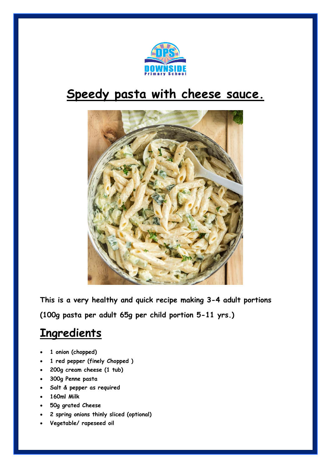

## **Speedy pasta with cheese sauce.**



**This is a very healthy and quick recipe making 3-4 adult portions (100g pasta per adult 65g per child portion 5-11 yrs.)**

## **Ingredients**

- **1 onion (chopped)**
- **1 red pepper (finely Chopped )**
- **200g cream cheese (1 tub)**
- **300g Penne pasta**
- **Salt & pepper as required**
- **160ml Milk**
- **50g grated Cheese**
- **2 spring onions thinly sliced (optional)**
- **Vegetable/ rapeseed oil**